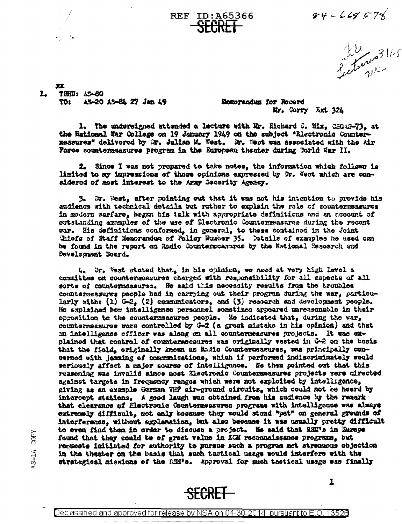$84 - 669578$ 

Letwood 11.5

 $\mathbf{x}$ ı. THRO: A5-60 AS-20 AS-84 27 Jan 49 TO<sub>1</sub>

13-14 COPY

Memorandum for Record Mr. Corry Ext 324

1. The undersigned attended a lecture with Mr. Richard C. Mix, CSGAS-73, at the National War College on 19 January 1949 on the subject "Electronic Countermansures" delivered by Mr. Julian M. West. Mr. West was associated with the Air Force countermeasures program in the European theater during World War II.

**REF ID: A65366** 

2. Since I was not propared to take notes, the information which follows is limited to sy impressions of those opinions expressed by Dr. West which are considered of most interest to the Army Security Agency.

3. Dr. West, after pointing out that it was not his intention to provide his audience with technical details but rather to explain the role of countersasures in modern sarfare, began his talk with appropriate definitions and an account of sutstanding excaples of the use of Slectronic Countermeasures during the recent war. His definitions conformed, in general, to these contained in the Joint Chiefs of Staff Memorandum of Policy Humber 35. Details of examples he used can be found in the report on Radio Countermeasures by the National Research and Development Board.

4. Br. West stated that, in his opinion, we need at very high level a committee on countermeasures charged with responsibility for all sspects of all sorts of countermeasures. He said this necessity results from the troubles countersessures people had in carrying out their program during the war, particularly with:  $(1)$  G-2,  $(2)$  communicators, and  $(3)$  research and development people. He explained how intelligence personnel sometimes appeared unreasonable in their opposition to the countermeasures people. He indicated that, during the war. countermeasures were controlled by  $G-2$  (a great mistake in his opinion) and that an intelligence officer was along on all countermeasures projects. It was explained that control of countermeasures was originally vested in G-2 on the basis that the field, originally known as Radio Countermeasures, was principally concerned with jamming of communications, which if performed indiscriminately would sariously affect a major source of intelligence. He then pointed out that this reasoning was invalid since most Electronic Counterneasures projects were directed against targets in frequency ranges which were not exploited by intelligence, giving as an example German VHP air-ground sireuits, which could not be heard by intercept stations. A good laugh was obtained from his audience by the remark that clearance of Electronic Countermeasures programs with intelligence was always extremaly difficult, not only because they would stend "pat" on general grounds of interference, without explanation, but also because it was usually pretty difficult to even find them in order to discuss a project. He said that RSM's in Europe found that they could be of great value in ECM reconnaissance programs, but requests initiated for authority to pursue such a program met strenuous objection in the theater on the basis that such tactical usage would interfere with the strategical missions of the EMWe. Approval for such tactical usage was finally